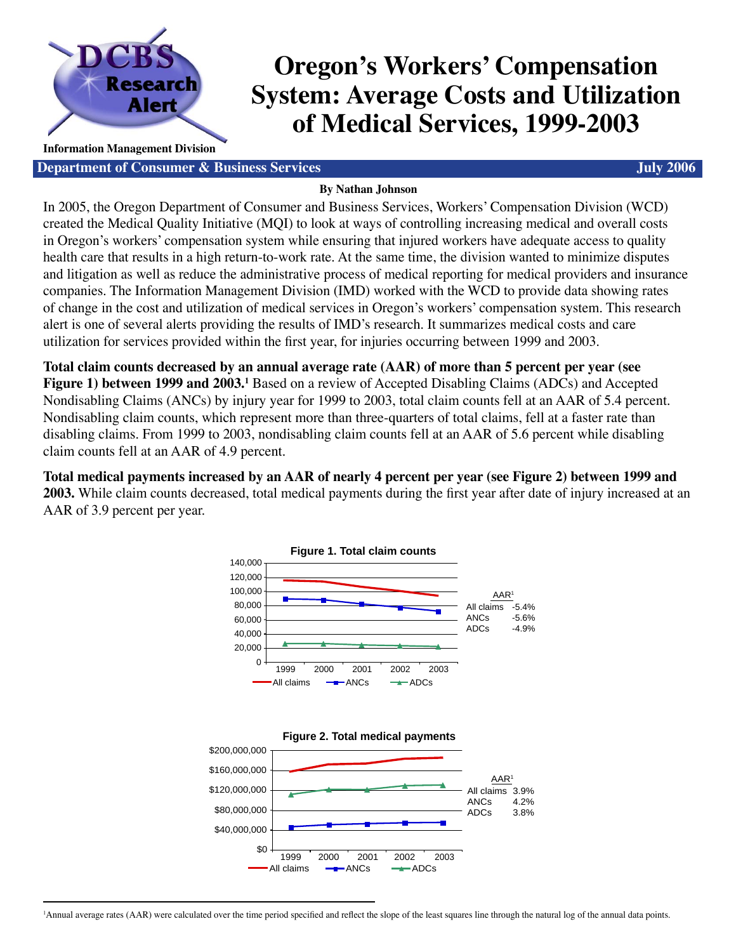

# **Oregon's Workers' Compensation System: Average Costs and Utilization of Medical Services, 1999-2003**

**Information Management Division**

**Department of Consumer & Business Services July 2006 July 2006** 

#### **By Nathan Johnson**

In 2005, the Oregon Department of Consumer and Business Services, Workers' Compensation Division (WCD) created the Medical Quality Initiative (MQI) to look at ways of controlling increasing medical and overall costs in Oregon's workers' compensation system while ensuring that injured workers have adequate access to quality health care that results in a high return-to-work rate. At the same time, the division wanted to minimize disputes and litigation as well as reduce the administrative process of medical reporting for medical providers and insurance companies. The Information Management Division (IMD) worked with the WCD to provide data showing rates of change in the cost and utilization of medical services in Oregon's workers' compensation system. This research alert is one of several alerts providing the results of IMD's research. It summarizes medical costs and care utilization for services provided within the first year, for injuries occurring between 1999 and 2003.

**Total claim counts decreased by an annual average rate (AAR) of more than 5 percent per year (see Figure 1) between 1999 and 2003.1** Based on a review of Accepted Disabling Claims (ADCs) and Accepted Nondisabling Claims (ANCs) by injury year for 1999 to 2003, total claim counts fell at an AAR of 5.4 percent. Nondisabling claim counts, which represent more than three-quarters of total claims, fell at a faster rate than disabling claims. From 1999 to 2003, nondisabling claim counts fell at an AAR of 5.6 percent while disabling claim counts fell at an AAR of 4.9 percent.

**Total medical payments increased by an AAR of nearly 4 percent per year (see Figure 2) between 1999 and 2003.** While claim counts decreased, total medical payments during the first year after date of injury increased at an AAR of 3.9 percent per year.



Annual average rates (AAR) were calculated over the time period specified and reflect the slope of the least squares line through the natural log of the annual data points.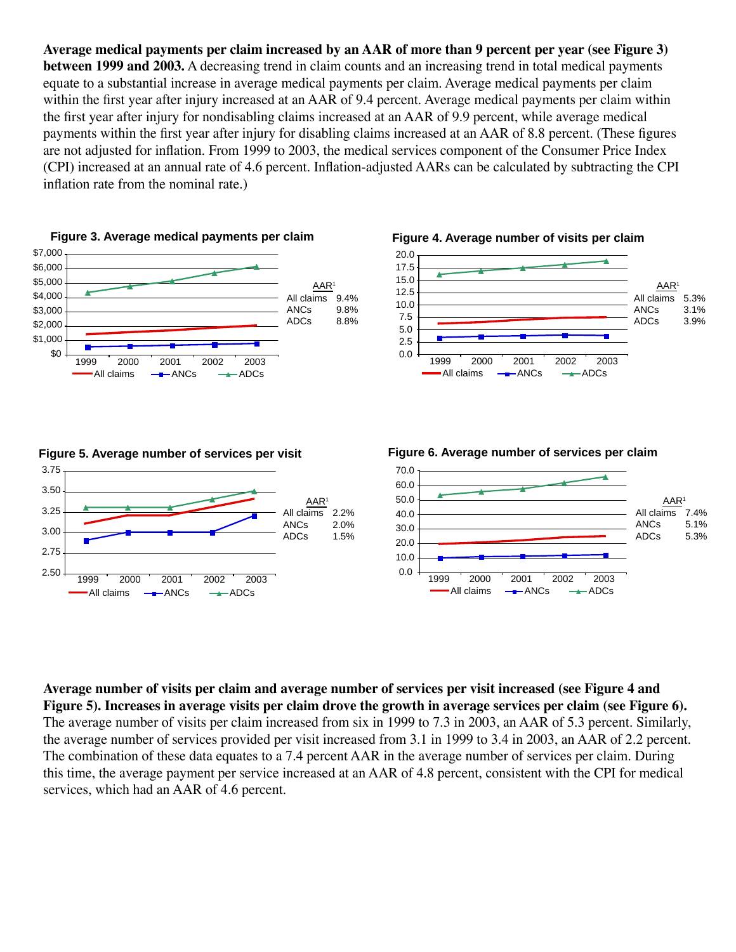**Average medical payments per claim increased by an AAR of more than 9 percent per year (see Figure 3) between 1999 and 2003.** A decreasing trend in claim counts and an increasing trend in total medical payments equate to a substantial increase in average medical payments per claim. Average medical payments per claim within the first year after injury increased at an AAR of 9.4 percent. Average medical payments per claim within the first year after injury for nondisabling claims increased at an AAR of 9.9 percent, while average medical payments within the first year after injury for disabling claims increased at an AAR of 8.8 percent. (These figures are not adjusted for inflation. From 1999 to 2003, the medical services component of the Consumer Price Index (CPI) increased at an annual rate of 4.6 percent. Inflation-adjusted AARs can be calculated by subtracting the CPI inflation rate from the nominal rate.)





**Figure 4. Average number of visits per claim** 



**Figure 6. Average number of services per claim** 



**Average number of visits per claim and average number of services per visit increased (see Figure 4 and Figure 5). Increases in average visits per claim drove the growth in average services per claim (see Figure 6).** The average number of visits per claim increased from six in 1999 to 7.3 in 2003, an AAR of 5.3 percent. Similarly, the average number of services provided per visit increased from 3.1 in 1999 to 3.4 in 2003, an AAR of 2.2 percent. The combination of these data equates to a 7.4 percent AAR in the average number of services per claim. During this time, the average payment per service increased at an AAR of 4.8 percent, consistent with the CPI for medical services, which had an AAR of 4.6 percent.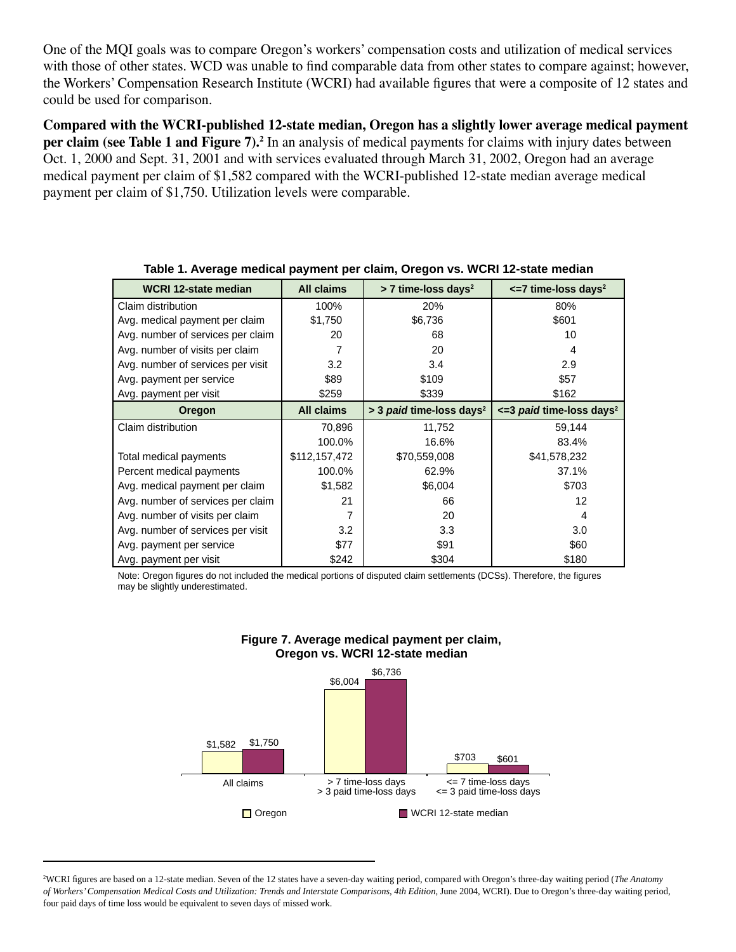One of the MQI goals was to compare Oregon's workers' compensation costs and utilization of medical services with those of other states. WCD was unable to find comparable data from other states to compare against; however, the Workers' Compensation Research Institute (WCRI) had available figures that were a composite of 12 states and could be used for comparison.

**Compared with the WCRI-published 12-state median, Oregon has a slightly lower average medical payment per claim (see Table 1 and Figure 7).**<sup>2</sup> In an analysis of medical payments for claims with injury dates between Oct. 1, 2000 and Sept. 31, 2001 and with services evaluated through March 31, 2002, Oregon had an average medical payment per claim of \$1,582 compared with the WCRI-published 12-state median average medical payment per claim of \$1,750. Utilization levels were comparable.

| <b>WCRI 12-state median</b>       | <b>All claims</b> | $>$ 7 time-loss days <sup>2</sup>    | $\epsilon$ =7 time-loss days <sup>2</sup> |
|-----------------------------------|-------------------|--------------------------------------|-------------------------------------------|
| Claim distribution                | 100%              | 20%                                  | 80%                                       |
| Avg. medical payment per claim    | \$1,750           | \$6,736                              | \$601                                     |
| Avg. number of services per claim | 20                | 68                                   | 10                                        |
| Avg. number of visits per claim   | 7                 | 20                                   | 4                                         |
| Avg. number of services per visit | 3.2               | 3.4                                  | 2.9                                       |
| Avg. payment per service          | \$89              | \$109                                | \$57                                      |
| Avg. payment per visit            | \$259             | \$339                                | \$162                                     |
| Oregon                            | <b>All claims</b> | > 3 paid time-loss days <sup>2</sup> | <= 3 paid time-loss days <sup>2</sup>     |
| Claim distribution                | 70,896            | 11,752                               | 59,144                                    |
|                                   | 100.0%            | 16.6%                                | 83.4%                                     |
| Total medical payments            | \$112,157,472     | \$70,559,008                         | \$41,578,232                              |
| Percent medical payments          | 100.0%            | 62.9%                                | 37.1%                                     |
| Avg. medical payment per claim    | \$1,582           | \$6,004                              | \$703                                     |
| Avg. number of services per claim | 21                | 66                                   | 12                                        |
| Avg. number of visits per claim   |                   | 20                                   | 4                                         |
| Avg. number of services per visit | 3.2               | 3.3                                  | 3.0                                       |
| Avg. payment per service          | \$77              | \$91                                 | \$60                                      |
| Avg. payment per visit            | \$242             | \$304                                | \$180                                     |

#### **Table 1. Average medical payment per claim, Oregon vs. WCRI 12-state median**

Note: Oregon figures do not included the medical portions of disputed claim settlements (DCSs). Therefore, the figures may be slightly underestimated.



### **Figure 7. Average medical payment per claim, Oregon vs. WCRI 12-state median**

<sup>&</sup>lt;sup>2</sup>WCRI figures are based on a 12-state median. Seven of the 12 states have a seven-day waiting period, compared with Oregon's three-day waiting period (*The Anatomy of Workers' Compensation Medical Costs and Utilization: Trends and Interstate Comparisons, 4th Edition*, June 2004, WCRI). Due to Oregon's three-day waiting period, four paid days of time loss would be equivalent to seven days of missed work.